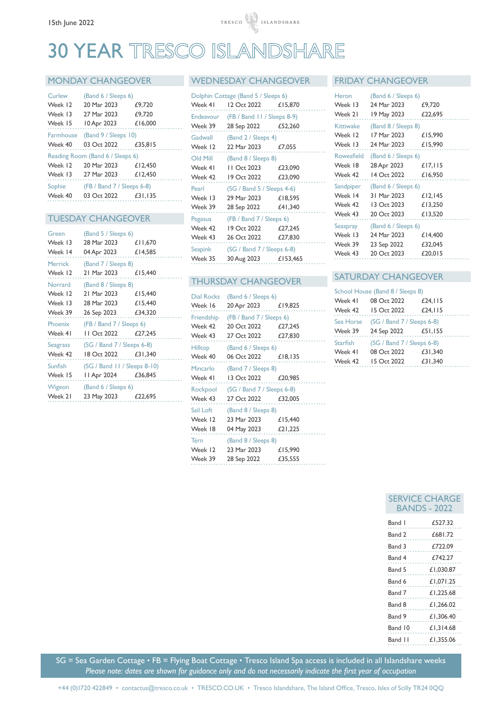# 30 YEAR TRESCO ISLANDSHARE

# MONDAY CHANGEOVER

| Curlew                           | (Band 6 / Sleeps 6)            |         |  |
|----------------------------------|--------------------------------|---------|--|
| Week 12                          | 20 Mar 2023                    | £9,720  |  |
| Week 13                          | 27 Mar 2023                    | £9,720  |  |
| Week 15                          | 10 Apr 2023                    | £16,000 |  |
|                                  | Farmhouse (Band 9 / Sleeps 10) |         |  |
| Week 40                          | 03 Oct 2022 £35.815            |         |  |
| Reading Room (Band 6 / Sleeps 6) |                                |         |  |
| Week 12                          | 20 Mar 2023                    | £12,450 |  |
| Week 13                          | 27 Mar 2023                    | £12,450 |  |
| Sophie                           | $(FB / Band 7 / Sleeps 6-8)$   |         |  |
| Week 40                          | 03 Oct 2022                    | £31.135 |  |

### TUESDAY CHANGEOVER

| Green    | (Band 5 / Sleeps 6)          |         |
|----------|------------------------------|---------|
| Week 13  | 28 Mar 2023                  | £11,670 |
| Week 14  | 04 Apr 2023                  | £14,585 |
| Merrick  | (Band 7 / Sleeps 8)          |         |
| Week 12  | 21 Mar 2023 £15,440          |         |
| Norrard  | (Band 8 / Sleeps 8)          |         |
| Week 12  | 21 Mar 2023                  | £15,440 |
| Week 13  | 28 Mar 2023                  | £15,440 |
| Week 39  | 26 Sep 2023                  | £34,320 |
|          |                              |         |
| Phoenix  | (FB / Band 7 / Sleeps 6)     |         |
| Week 41  | II Oct 2022 £27,245          |         |
| Seagrass | (SG / Band 7 / Sleeps 6-8)   |         |
| Week 42  | 18 Oct 2022 £31,340          |         |
| Sunfish  | (SG / Band 11 / Sleeps 8-10) |         |
| Week 15  | II Apr 2024 £36,845          |         |
| Wigeon   | (Band 6 / Sleeps 6)          |         |

#### WEDNESDAY CHANGEOVER FRIDAY CHANGEOVER

| Dolphin Cottage (Band 5 / Sleeps 6)   |         |  |  |
|---------------------------------------|---------|--|--|
| 12 Oct 2022 £15,870                   |         |  |  |
| Endeavour (FB / Band 11 / Sleeps 8-9) |         |  |  |
| 28 Sep 2022 £52,260                   |         |  |  |
| (Band 2 / Sleeps 4)                   |         |  |  |
| 22 Mar 2023 £7,055                    |         |  |  |
| (Band 8 / Sleeps 8)                   |         |  |  |
| 11 Oct 2023                           | £23,090 |  |  |
| Week 42<br>19 Oct 2022                | £23,090 |  |  |
| (SG / Band 5 / Sleeps 4-6)            |         |  |  |
| 29 Mar 2023                           | £18,595 |  |  |
| 28 Sep 2022 £41,340                   |         |  |  |
| (FB / Band 7 / Sleeps 6)              |         |  |  |
| 19 Oct 2022                           | £27,245 |  |  |
| 26 Oct 2022 £27,830                   |         |  |  |
| (SG / Band 7 / Sleeps 6-8)            |         |  |  |
| 30 Aug 2023 £153,465                  |         |  |  |
|                                       |         |  |  |

# THURSDAY CHANGEOVER

| <b>Dial Rocks</b> | (Band 6 / Sleeps 6)        |         |
|-------------------|----------------------------|---------|
| Week 16           | 20 Apr 2023 £19,825        |         |
| Friendship        | (FB / Band 7 / Sleeps 6)   |         |
| Week 42           | 20 Oct 2022                | £27,245 |
| Week 43           | 27 Oct 2022                | £27,830 |
| <b>Hilltop</b>    | (Band 6 / Sleeps 6)        |         |
| Week 40           | 06 Oct 2022 £18,135        |         |
| Mincarlo          | (Band 7 / Sleeps 8)        |         |
| Week 41           | 13 Oct 2022 £20,985        |         |
| Rockpool          | (SG / Band 7 / Sleeps 6-8) |         |
| Week 43           | 27 Oct 2022 £32,005        |         |
| Sail Loft         | (Band 8 / Sleeps 8)        |         |
| Week 12           | 23 Mar 2023                | £15,440 |
| Week 18           | 04 May 2023                | £21,225 |
| Tern              | (Band 8 / Sleeps 8)        |         |
| Week 12           | 23 Mar 2023                | £15,990 |
| Week 39           | 28 Sep 2022                | £35,555 |

| Heron     | (Band 6 / Sleeps 6)            |         |
|-----------|--------------------------------|---------|
| Week 13   | 24 Mar 2023                    | £9,720  |
| Week 21   | 19 May 2023                    | £22,695 |
| Kittiwake | (Band 8 / Sleeps 8)            |         |
| Week 12   | 17 Mar 2023                    | £15,990 |
| Week 13   | 24 Mar 2023                    | £15,990 |
|           | Rowesfield (Band 6 / Sleeps 6) |         |
| Week 18   | 28 Apr 2023                    | £17,115 |
| Week 42   | 14 Oct 2022                    | £16,950 |
|           | Sandpiper (Band 6 / Sleeps 6)  |         |
| Week 14   | 31 Mar 2023                    | £12,145 |
| Week 42   | 13 Oct 2023                    | £13,250 |
| Week 43   | 20 Oct 2023                    | £13,520 |
| Seaspray  | (Band 6 / Sleeps 6)            |         |
| Week 13   | 24 Mar 2023                    | £14,400 |
| Week 39   | 23 Sep 2022                    | £32,045 |
| Week 43   | 20 Oct 2023                    | £20.015 |

# SATURDAY CHANGEOVER

| School House (Band 8 / Sleeps 8) |                            |                 |  |
|----------------------------------|----------------------------|-----------------|--|
| Week 41                          | 08 Oct 2022                | £24, $\vert$ 15 |  |
| Week 42                          | 15 Oct 2022                | £24, $\vert$ 15 |  |
| Sea Horse                        | (SG / Band 7 / Sleeps 6-8) |                 |  |
| Week 39                          | 24 Sep 2022 £51,155        |                 |  |
| <b>Starfish</b>                  | (SG / Band 7 / Sleeps 6-8) |                 |  |
| Week 41                          | 08 Oct 2022                | £31,340         |  |
| Week 42                          | 15 Oct 2022                | £31,340         |  |

| SERVIL  | HAKL1F<br>BANDS - 2022 |
|---------|------------------------|
| Band I  | £527.32                |
| Band 2  | £681.72                |
| Band 3  | £722.09                |
| Band 4  | £742.27                |
| Band 5  | £1,030.87              |
| Band 6  | £1.071.25              |
| Band 7  | £1.225.68              |
| Band 8  | £1.266.02              |
| Band 9  | £1.306.40              |
| Band 10 | £1,314.68              |
| Band 11 | £1,355.06              |

SERVICE CHARGE

SG = Sea Garden Cottage • FB = Flying Boat Cottage • Tresco Island Spa access is included in all Islandshare weeks *Please note: dates are shown for guidance only and do not necessarily indicate the first year of occupation*